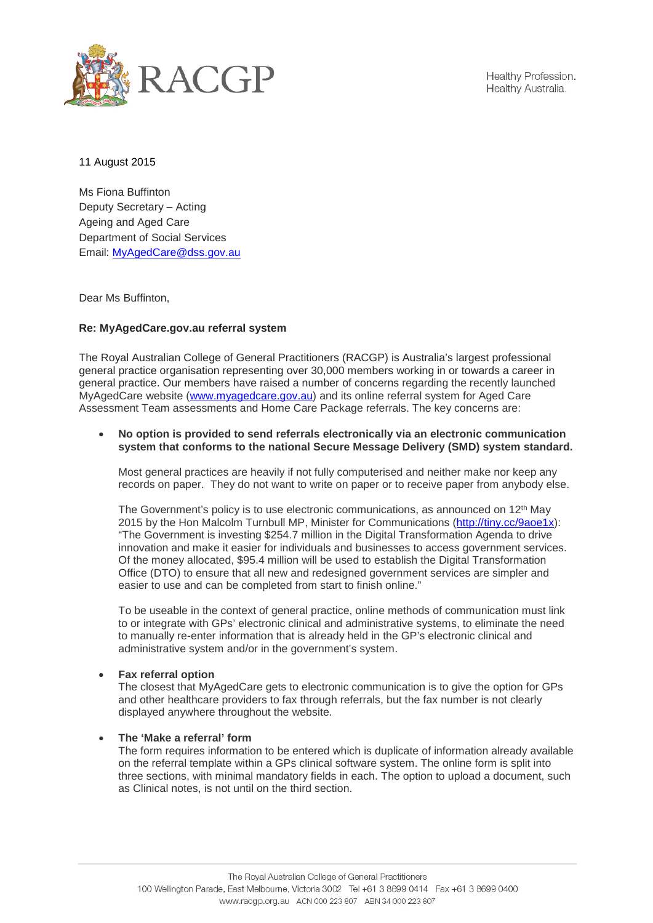

Healthy Profession. Healthy Australia.

11 August 2015

Ms Fiona Buffinton Deputy Secretary – Acting Ageing and Aged Care Department of Social Services Email: [MyAgedCare@dss.gov.au](mailto:MyAgedCare@dss.gov.au)

Dear Ms Buffinton,

## **Re: MyAgedCare.gov.au referral system**

The Royal Australian College of General Practitioners (RACGP) is Australia's largest professional general practice organisation representing over 30,000 members working in or towards a career in general practice. Our members have raised a number of concerns regarding the recently launched MyAgedCare website [\(www.myagedcare.gov.au\)](http://www.myagedcare.gov.au/) and its online referral system for Aged Care Assessment Team assessments and Home Care Package referrals. The key concerns are:

## • **No option is provided to send referrals electronically via an electronic communication system that conforms to the national Secure Message Delivery (SMD) system standard.**

Most general practices are heavily if not fully computerised and neither make nor keep any records on paper. They do not want to write on paper or to receive paper from anybody else.

The Government's policy is to use electronic communications, as announced on 12<sup>th</sup> May 2015 by the Hon Malcolm Turnbull MP. Minister for Communications [\(http://tiny.cc/9aoe1x\)](http://tiny.cc/9aoe1x): "The Government is investing \$254.7 million in the Digital Transformation Agenda to drive innovation and make it easier for individuals and businesses to access government services. Of the money allocated, \$95.4 million will be used to establish the Digital Transformation Office (DTO) to ensure that all new and redesigned government services are simpler and easier to use and can be completed from start to finish online."

To be useable in the context of general practice, online methods of communication must link to or integrate with GPs' electronic clinical and administrative systems, to eliminate the need to manually re-enter information that is already held in the GP's electronic clinical and administrative system and/or in the government's system.

## • **Fax referral option**

The closest that MyAgedCare gets to electronic communication is to give the option for GPs and other healthcare providers to fax through referrals, but the fax number is not clearly displayed anywhere throughout the website.

## • **The 'Make a referral' form**

The form requires information to be entered which is duplicate of information already available on the referral template within a GPs clinical software system. The online form is split into three sections, with minimal mandatory fields in each. The option to upload a document, such as Clinical notes, is not until on the third section.